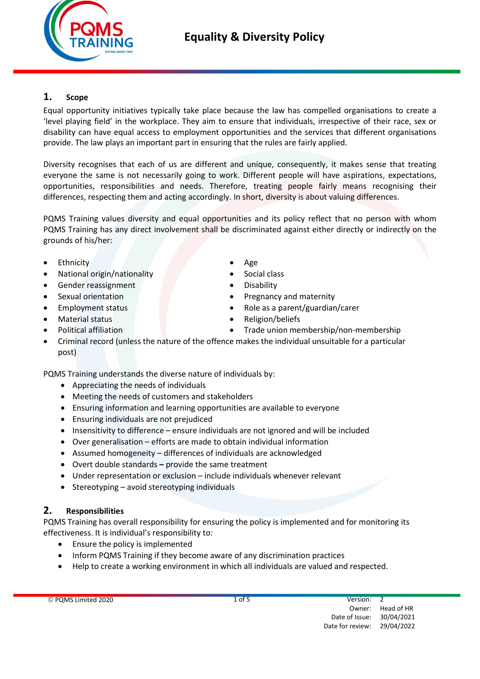

## 1. Scope

Equal opportunity initiatives typically take place because the law has compelled organisations to create a 'level playing field' in the workplace. They aim to ensure that individuals, irrespective of their race, sex or disability can have equal access to employment opportunities and the services that different organisations provide. The law plays an important part in ensuring that the rules are fairly applied.

Diversity recognises that each of us are different and unique, consequently, it makes sense that treating everyone the same is not necessarily going to work. Different people will have aspirations, expectations, opportunities, responsibilities and needs. Therefore, treating people fairly means recognising their differences, respecting them and acting accordingly. In short, diversity is about valuing differences.

PQMS Training values diversity and equal opportunities and its policy reflect that no person with whom PQMS Training has any direct involvement shall be discriminated against either directly or indirectly on the grounds of his/her:

- Ethnicity **Age**
- National origin/nationality **Constanting Constanting Constanting Constanting Constanting Constanting Constanting Constanting Constanting Constanting Constanting Constanting Constanting Constanting Constanting Constanting C**
- Gender reassignment **Constanting Constanting Constanting Constanting Constanting Constanting Constanting Constanting Constanting Constanting Constanting Constanting Constanting Constanting Constanting Constanting Constanti**
- 
- 
- 
- 
- 
- 
- 
- Sexual orientation **Contracts Contracts Contracts Contracts Contracts Contracts Contracts Contracts Contracts Contracts Contracts Contracts Contracts Contracts Contracts Contracts Contracts**
- Employment status Role as a parent/guardian/carer
- Material status **Material status Religion**/beliefs
- Political affiliation **Trade union membership/non-membership**
- Criminal record (unless the nature of the offence makes the individual unsuitable for a particular post)

PQMS Training understands the diverse nature of individuals by:

- Appreciating the needs of individuals
- Meeting the needs of customers and stakeholders
- Ensuring information and learning opportunities are available to everyone
- Ensuring individuals are not prejudiced
- Insensitivity to difference ensure individuals are not ignored and will be included
- Over generalisation efforts are made to obtain individual information
- Assumed homogeneity differences of individuals are acknowledged
- Overt double standards provide the same treatment
- Under representation or exclusion include individuals whenever relevant
- Stereotyping avoid stereotyping individuals

### 2. Responsibilities

PQMS Training has overall responsibility for ensuring the policy is implemented and for monitoring its effectiveness. It is individual's responsibility to:

- Ensure the policy is implemented
- Inform PQMS Training if they become aware of any discrimination practices
- Help to create a working environment in which all individuals are valued and respected.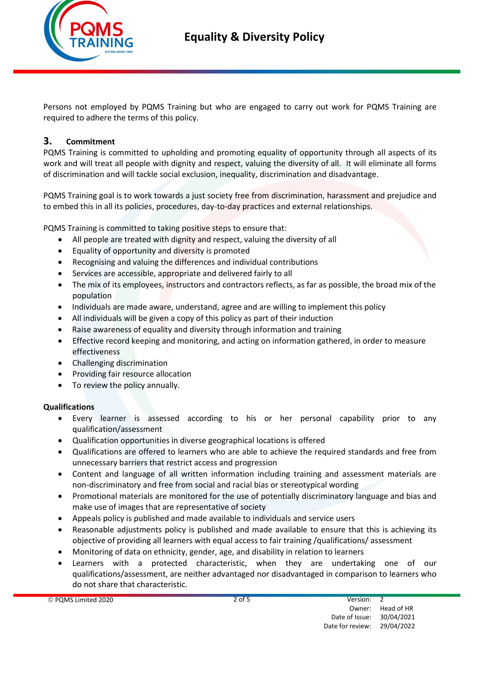

Persons not employed by PQMS Training but who are engaged to carry out work for PQMS Training are required to adhere the terms of this policy.

### 3. Commitment

PQMS Training is committed to upholding and promoting equality of opportunity through all aspects of its work and will treat all people with dignity and respect, valuing the diversity of all. It will eliminate all forms of discrimination and will tackle social exclusion, inequality, discrimination and disadvantage.

PQMS Training goal is to work towards a just society free from discrimination, harassment and prejudice and to embed this in all its policies, procedures, day-to-day practices and external relationships.

PQMS Training is committed to taking positive steps to ensure that:

- All people are treated with dignity and respect, valuing the diversity of all
- Equality of opportunity and diversity is promoted
- Recognising and valuing the differences and individual contributions
- Services are accessible, appropriate and delivered fairly to all
- The mix of its employees, instructors and contractors reflects, as far as possible, the broad mix of the population
- Individuals are made aware, understand, agree and are willing to implement this policy
- All individuals will be given a copy of this policy as part of their induction
- Raise awareness of equality and diversity through information and training
- Effective record keeping and monitoring, and acting on information gathered, in order to measure effectiveness
- Challenging discrimination
- Providing fair resource allocation
- To review the policy annually.

#### Qualifications

- Every learner is assessed according to his or her personal capability prior to any qualification/assessment
- Qualification opportunities in diverse geographical locations is offered
- Qualifications are offered to learners who are able to achieve the required standards and free from unnecessary barriers that restrict access and progression
- Content and language of all written information including training and assessment materials are non-discriminatory and free from social and racial bias or stereotypical wording
- Promotional materials are monitored for the use of potentially discriminatory language and bias and make use of images that are representative of society
- Appeals policy is published and made available to individuals and service users
- Reasonable adjustments policy is published and made available to ensure that this is achieving its objective of providing all learners with equal access to fair training /qualifications/ assessment
- Monitoring of data on ethnicity, gender, age, and disability in relation to learners
- Learners with a protected characteristic, when they are undertaking one of our qualifications/assessment, are neither advantaged nor disadvantaged in comparison to learners who do not share that characteristic.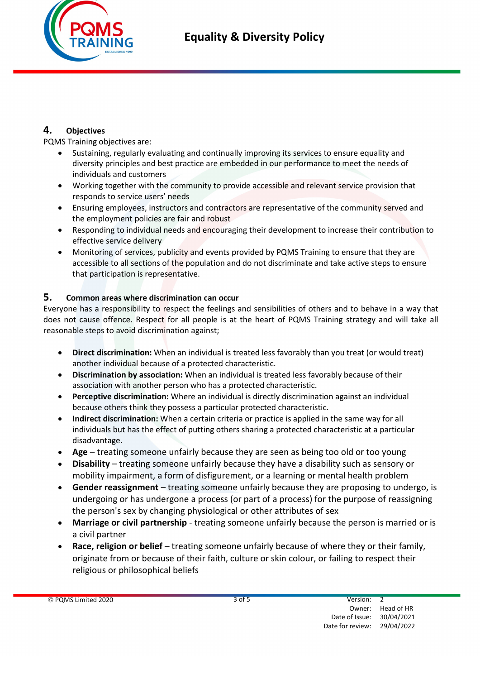

### 4. Objectives

PQMS Training objectives are:

- Sustaining, regularly evaluating and continually improving its services to ensure equality and diversity principles and best practice are embedded in our performance to meet the needs of individuals and customers
- Working together with the community to provide accessible and relevant service provision that responds to service users' needs
- Ensuring employees, instructors and contractors are representative of the community served and the employment policies are fair and robust
- Responding to individual needs and encouraging their development to increase their contribution to effective service delivery
- Monitoring of services, publicity and events provided by PQMS Training to ensure that they are accessible to all sections of the population and do not discriminate and take active steps to ensure that participation is representative.

### 5. Common areas where discrimination can occur

Everyone has a responsibility to respect the feelings and sensibilities of others and to behave in a way that does not cause offence. Respect for all people is at the heart of PQMS Training strategy and will take all reasonable steps to avoid discrimination against;

- Direct discrimination: When an individual is treated less favorably than you treat (or would treat) another individual because of a protected characteristic.
- Discrimination by association: When an individual is treated less favorably because of their association with another person who has a protected characteristic.
- Perceptive discrimination: Where an individual is directly discrimination against an individual because others think they possess a particular protected characteristic.
- Indirect discrimination: When a certain criteria or practice is applied in the same way for all individuals but has the effect of putting others sharing a protected characteristic at a particular disadvantage.
- Age treating someone unfairly because they are seen as being too old or too young
- Disability treating someone unfairly because they have a disability such as sensory or mobility impairment, a form of disfigurement, or a learning or mental health problem
- Gender reassignment treating someone unfairly because they are proposing to undergo, is undergoing or has undergone a process (or part of a process) for the purpose of reassigning the person's sex by changing physiological or other attributes of sex
- Marriage or civil partnership treating someone unfairly because the person is married or is a civil partner
- Race, religion or belief treating someone unfairly because of where they or their family, originate from or because of their faith, culture or skin colour, or failing to respect their religious or philosophical beliefs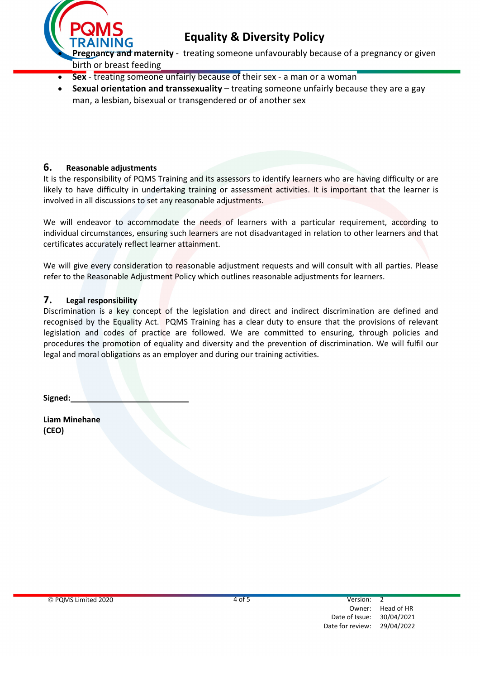

- Sex treating someone unfairly because of their sex a man or a woman
- Sexual orientation and transsexuality treating someone unfairly because they are a gay man, a lesbian, bisexual or transgendered or of another sex

#### 6. Reasonable adjustments

It is the responsibility of PQMS Training and its assessors to identify learners who are having difficulty or are likely to have difficulty in undertaking training or assessment activities. It is important that the learner is involved in all discussions to set any reasonable adjustments.

We will endeavor to accommodate the needs of learners with a particular requirement, according to individual circumstances, ensuring such learners are not disadvantaged in relation to other learners and that certificates accurately reflect learner attainment.

We will give every consideration to reasonable adjustment requests and will consult with all parties. Please refer to the Reasonable Adjustment Policy which outlines reasonable adjustments for learners.

#### 7. Legal responsibility

Discrimination is a key concept of the legislation and direct and indirect discrimination are defined and recognised by the Equality Act. PQMS Training has a clear duty to ensure that the provisions of relevant legislation and codes of practice are followed. We are committed to ensuring, through policies and procedures the promotion of equality and diversity and the prevention of discrimination. We will fulfil our legal and moral obligations as an employer and during our training activities.

Signed:

Liam Minehane (CEO)